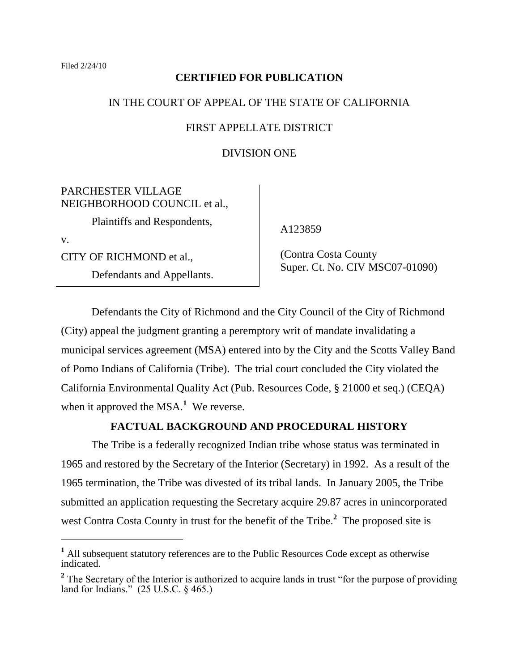## **CERTIFIED FOR PUBLICATION**

# IN THE COURT OF APPEAL OF THE STATE OF CALIFORNIA

## FIRST APPELLATE DISTRICT

## DIVISION ONE

PARCHESTER VILLAGE NEIGHBORHOOD COUNCIL et al.,

Plaintiffs and Respondents,

v.

 $\overline{a}$ 

CITY OF RICHMOND et al.,

Defendants and Appellants.

A123859

 (Contra Costa County Super. Ct. No. CIV MSC07-01090)

Defendants the City of Richmond and the City Council of the City of Richmond (City) appeal the judgment granting a peremptory writ of mandate invalidating a municipal services agreement (MSA) entered into by the City and the Scotts Valley Band of Pomo Indians of California (Tribe). The trial court concluded the City violated the California Environmental Quality Act (Pub. Resources Code, § 21000 et seq.) (CEQA) when it approved the MSA.<sup>1</sup> We reverse.

# **FACTUAL BACKGROUND AND PROCEDURAL HISTORY**

The Tribe is a federally recognized Indian tribe whose status was terminated in 1965 and restored by the Secretary of the Interior (Secretary) in 1992. As a result of the 1965 termination, the Tribe was divested of its tribal lands. In January 2005, the Tribe submitted an application requesting the Secretary acquire 29.87 acres in unincorporated west Contra Costa County in trust for the benefit of the Tribe.**<sup>2</sup>** The proposed site is

**<sup>1</sup>** All subsequent statutory references are to the Public Resources Code except as otherwise indicated.

<sup>&</sup>lt;sup>2</sup> The Secretary of the Interior is authorized to acquire lands in trust "for the purpose of providing land for Indians." (25 U.S.C. § 465.)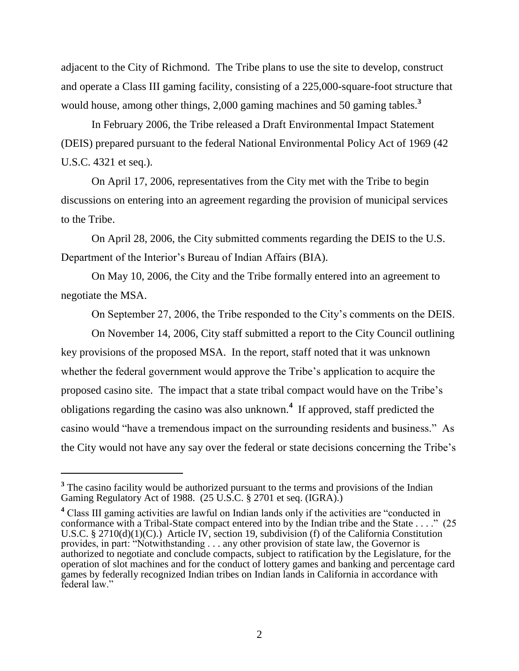adjacent to the City of Richmond. The Tribe plans to use the site to develop, construct and operate a Class III gaming facility, consisting of a 225,000-square-foot structure that would house, among other things, 2,000 gaming machines and 50 gaming tables.<sup>3</sup>

In February 2006, the Tribe released a Draft Environmental Impact Statement (DEIS) prepared pursuant to the federal National Environmental Policy Act of 1969 (42 U.S.C. 4321 et seq.).

On April 17, 2006, representatives from the City met with the Tribe to begin discussions on entering into an agreement regarding the provision of municipal services to the Tribe.

On April 28, 2006, the City submitted comments regarding the DEIS to the U.S. Department of the Interior's Bureau of Indian Affairs (BIA).

On May 10, 2006, the City and the Tribe formally entered into an agreement to negotiate the MSA.

On September 27, 2006, the Tribe responded to the City"s comments on the DEIS.

On November 14, 2006, City staff submitted a report to the City Council outlining key provisions of the proposed MSA. In the report, staff noted that it was unknown whether the federal government would approve the Tribe's application to acquire the proposed casino site. The impact that a state tribal compact would have on the Tribe"s obligations regarding the casino was also unknown.**<sup>4</sup>** If approved, staff predicted the casino would "have a tremendous impact on the surrounding residents and business." As the City would not have any say over the federal or state decisions concerning the Tribe"s

<sup>&</sup>lt;sup>3</sup> The casino facility would be authorized pursuant to the terms and provisions of the Indian Gaming Regulatory Act of 1988. (25 U.S.C. § 2701 et seq. (IGRA).)

<sup>&</sup>lt;sup>4</sup> Class III gaming activities are lawful on Indian lands only if the activities are "conducted in conformance with a Tribal-State compact entered into by the Indian tribe and the State . . . ." (25 U.S.C. § 2710(d)(1)(C).) Article IV, section 19, subdivision (f) of the California Constitution provides, in part: "Notwithstanding . . . any other provision of state law, the Governor is authorized to negotiate and conclude compacts, subject to ratification by the Legislature, for the operation of slot machines and for the conduct of lottery games and banking and percentage card games by federally recognized Indian tribes on Indian lands in California in accordance with federal law"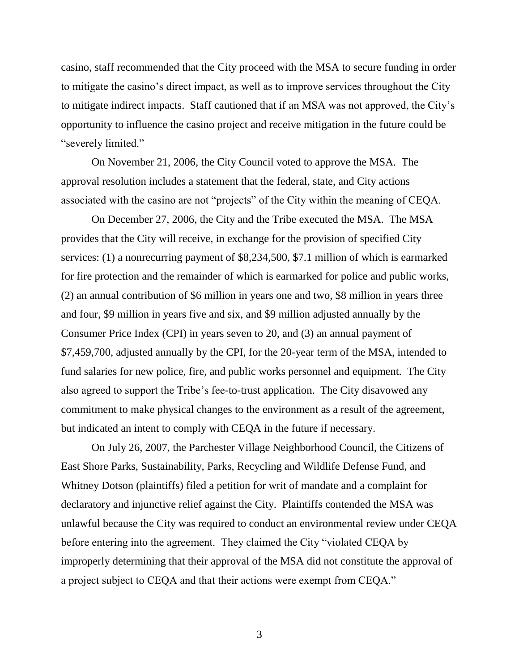casino, staff recommended that the City proceed with the MSA to secure funding in order to mitigate the casino"s direct impact, as well as to improve services throughout the City to mitigate indirect impacts. Staff cautioned that if an MSA was not approved, the City"s opportunity to influence the casino project and receive mitigation in the future could be "severely limited."

On November 21, 2006, the City Council voted to approve the MSA. The approval resolution includes a statement that the federal, state, and City actions associated with the casino are not "projects" of the City within the meaning of CEQA.

On December 27, 2006, the City and the Tribe executed the MSA. The MSA provides that the City will receive, in exchange for the provision of specified City services: (1) a nonrecurring payment of \$8,234,500, \$7.1 million of which is earmarked for fire protection and the remainder of which is earmarked for police and public works, (2) an annual contribution of \$6 million in years one and two, \$8 million in years three and four, \$9 million in years five and six, and \$9 million adjusted annually by the Consumer Price Index (CPI) in years seven to 20, and (3) an annual payment of \$7,459,700, adjusted annually by the CPI, for the 20-year term of the MSA, intended to fund salaries for new police, fire, and public works personnel and equipment. The City also agreed to support the Tribe"s fee-to-trust application. The City disavowed any commitment to make physical changes to the environment as a result of the agreement, but indicated an intent to comply with CEQA in the future if necessary.

On July 26, 2007, the Parchester Village Neighborhood Council, the Citizens of East Shore Parks, Sustainability, Parks, Recycling and Wildlife Defense Fund, and Whitney Dotson (plaintiffs) filed a petition for writ of mandate and a complaint for declaratory and injunctive relief against the City. Plaintiffs contended the MSA was unlawful because the City was required to conduct an environmental review under CEQA before entering into the agreement. They claimed the City "violated CEQA by improperly determining that their approval of the MSA did not constitute the approval of a project subject to CEQA and that their actions were exempt from CEQA."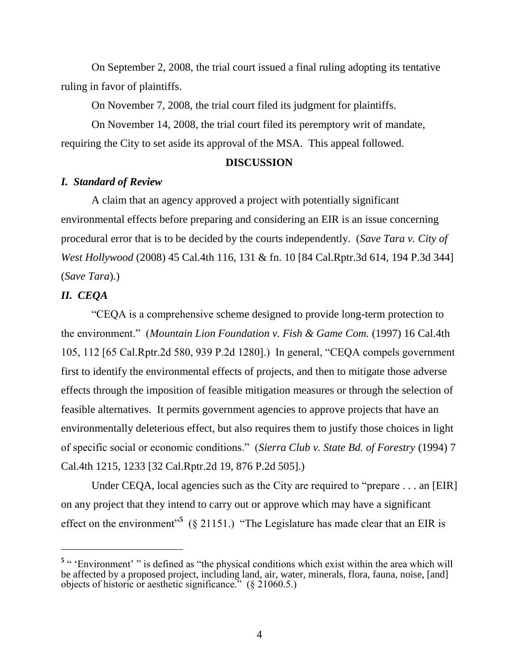On September 2, 2008, the trial court issued a final ruling adopting its tentative ruling in favor of plaintiffs.

On November 7, 2008, the trial court filed its judgment for plaintiffs.

On November 14, 2008, the trial court filed its peremptory writ of mandate, requiring the City to set aside its approval of the MSA. This appeal followed.

#### **DISCUSSION**

### *I. Standard of Review*

A claim that an agency approved a project with potentially significant environmental effects before preparing and considering an EIR is an issue concerning procedural error that is to be decided by the courts independently. (*Save Tara v. City of West Hollywood* (2008) 45 Cal.4th 116, 131 & fn. 10 [84 Cal.Rptr.3d 614, 194 P.3d 344] (*Save Tara*).)

# *II. CEQA*

 $\overline{a}$ 

"CEQA is a comprehensive scheme designed to provide long-term protection to the environment." (*Mountain Lion Foundation v. Fish & Game Com.* (1997) 16 Cal.4th 105, 112 [65 Cal.Rptr.2d 580, 939 P.2d 1280].) In general, "CEQA compels government first to identify the environmental effects of projects, and then to mitigate those adverse effects through the imposition of feasible mitigation measures or through the selection of feasible alternatives. It permits government agencies to approve projects that have an environmentally deleterious effect, but also requires them to justify those choices in light of specific social or economic conditions." (*Sierra Club v. State Bd. of Forestry* (1994) 7 Cal.4th 1215, 1233 [32 Cal.Rptr.2d 19, 876 P.2d 505].)

Under CEQA, local agencies such as the City are required to "prepare . . . an [EIR] on any project that they intend to carry out or approve which may have a significant effect on the environment<sup>5</sup> (§ 21151.) "The Legislature has made clear that an EIR is

<sup>&</sup>lt;sup>5</sup> " 'Environment' " is defined as "the physical conditions which exist within the area which will be affected by a proposed project, including land, air, water, minerals, flora, fauna, noise, [and] objects of historic or aesthetic significance." (§ 21060.5.)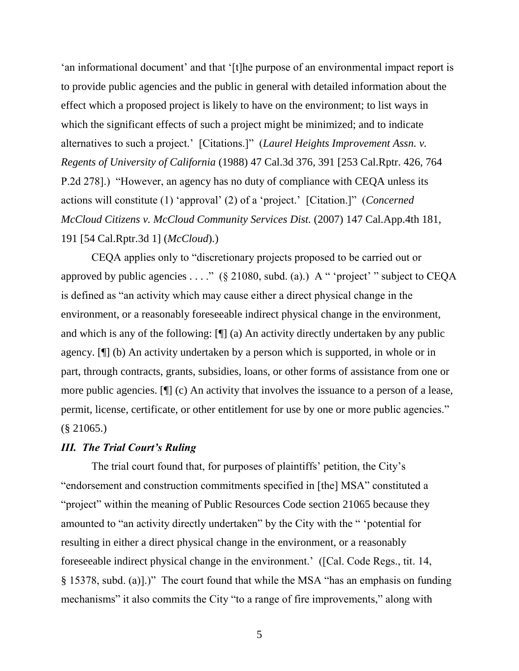an informational document' and that '[t]he purpose of an environmental impact report is to provide public agencies and the public in general with detailed information about the effect which a proposed project is likely to have on the environment; to list ways in which the significant effects of such a project might be minimized; and to indicate alternatives to such a project." [Citations.]" (*Laurel Heights Improvement Assn. v. Regents of University of California* (1988) 47 Cal.3d 376, 391 [253 Cal.Rptr. 426, 764 P.2d 278].) "However, an agency has no duty of compliance with CEQA unless its actions will constitute (1) "approval" (2) of a "project." [Citation.]" (*Concerned McCloud Citizens v. McCloud Community Services Dist.* (2007) 147 Cal.App.4th 181, 191 [54 Cal.Rptr.3d 1] (*McCloud*).)

CEQA applies only to "discretionary projects proposed to be carried out or approved by public agencies . . . ." ( $\S$  21080, subd. (a).) A " 'project' " subject to CEQA is defined as "an activity which may cause either a direct physical change in the environment, or a reasonably foreseeable indirect physical change in the environment, and which is any of the following: [¶] (a) An activity directly undertaken by any public agency. [¶] (b) An activity undertaken by a person which is supported, in whole or in part, through contracts, grants, subsidies, loans, or other forms of assistance from one or more public agencies. [¶] (c) An activity that involves the issuance to a person of a lease, permit, license, certificate, or other entitlement for use by one or more public agencies." (§ 21065.)

## *III. The Trial Court's Ruling*

The trial court found that, for purposes of plaintiffs' petition, the City's "endorsement and construction commitments specified in [the] MSA" constituted a "project" within the meaning of Public Resources Code section 21065 because they amounted to "an activity directly undertaken" by the City with the " "potential for resulting in either a direct physical change in the environment, or a reasonably foreseeable indirect physical change in the environment." ([Cal. Code Regs., tit. 14, § 15378, subd. (a)].)" The court found that while the MSA "has an emphasis on funding mechanisms" it also commits the City "to a range of fire improvements," along with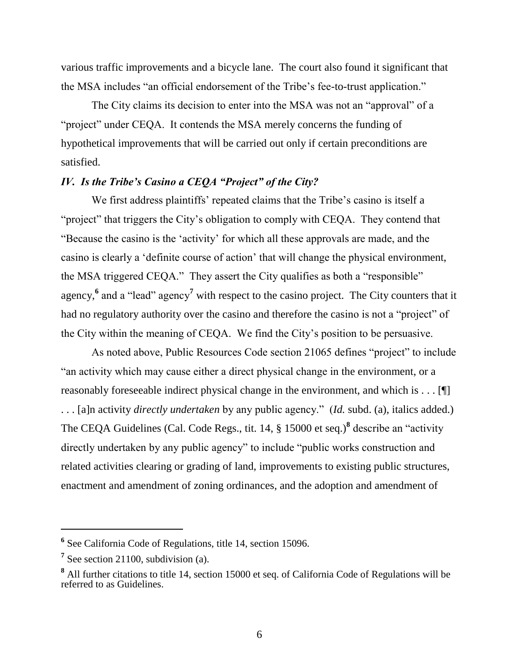various traffic improvements and a bicycle lane. The court also found it significant that the MSA includes "an official endorsement of the Tribe"s fee-to-trust application."

The City claims its decision to enter into the MSA was not an "approval" of a "project" under CEQA. It contends the MSA merely concerns the funding of hypothetical improvements that will be carried out only if certain preconditions are satisfied.

# *IV. Is the Tribe's Casino a CEQA "Project" of the City?*

We first address plaintiffs' repeated claims that the Tribe's casino is itself a "project" that triggers the City"s obligation to comply with CEQA. They contend that "Because the casino is the "activity" for which all these approvals are made, and the casino is clearly a "definite course of action" that will change the physical environment, the MSA triggered CEQA." They assert the City qualifies as both a "responsible" agency,<sup>6</sup> and a "lead" agency<sup>7</sup> with respect to the casino project. The City counters that it had no regulatory authority over the casino and therefore the casino is not a "project" of the City within the meaning of CEQA. We find the City"s position to be persuasive.

As noted above, Public Resources Code section 21065 defines "project" to include "an activity which may cause either a direct physical change in the environment, or a reasonably foreseeable indirect physical change in the environment, and which is . . . [¶] . . . [a]n activity *directly undertaken* by any public agency." (*Id.* subd. (a), italics added.) The CEQA Guidelines (Cal. Code Regs., tit. 14, § 15000 et seq.)**<sup>8</sup>** describe an "activity directly undertaken by any public agency" to include "public works construction and related activities clearing or grading of land, improvements to existing public structures, enactment and amendment of zoning ordinances, and the adoption and amendment of

**<sup>6</sup>** See California Code of Regulations, title 14, section 15096.

<sup>&</sup>lt;sup>7</sup> See section 21100, subdivision (a).

**<sup>8</sup>** All further citations to title 14, section 15000 et seq. of California Code of Regulations will be referred to as Guidelines.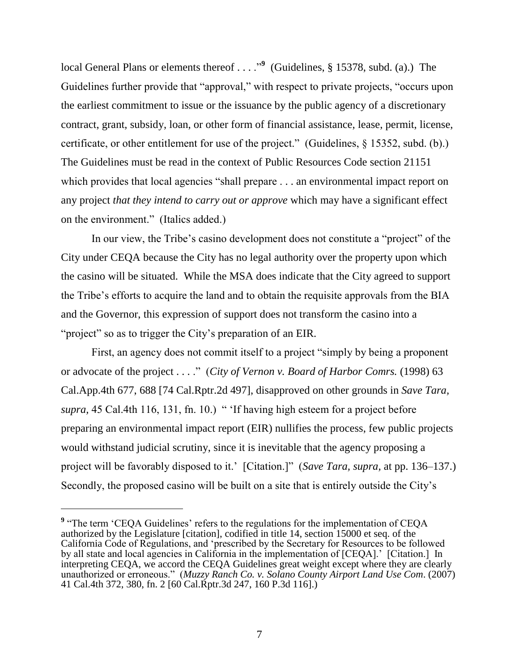local General Plans or elements thereof . . . .<sup>99</sup> (Guidelines, § 15378, subd. (a).) The Guidelines further provide that "approval," with respect to private projects, "occurs upon the earliest commitment to issue or the issuance by the public agency of a discretionary contract, grant, subsidy, loan, or other form of financial assistance, lease, permit, license, certificate, or other entitlement for use of the project." (Guidelines, § 15352, subd. (b).) The Guidelines must be read in the context of Public Resources Code section 21151 which provides that local agencies "shall prepare . . . an environmental impact report on any project *that they intend to carry out or approve* which may have a significant effect on the environment." (Italics added.)

In our view, the Tribe"s casino development does not constitute a "project" of the City under CEQA because the City has no legal authority over the property upon which the casino will be situated. While the MSA does indicate that the City agreed to support the Tribe"s efforts to acquire the land and to obtain the requisite approvals from the BIA and the Governor, this expression of support does not transform the casino into a "project" so as to trigger the City's preparation of an EIR.

First, an agency does not commit itself to a project "simply by being a proponent or advocate of the project . . . ." (*City of Vernon v. Board of Harbor Comrs.* (1998) 63 Cal.App.4th 677, 688 [74 Cal.Rptr.2d 497], disapproved on other grounds in *Save Tara, supra,* 45 Cal.4th 116, 131, fn. 10.) " "If having high esteem for a project before preparing an environmental impact report (EIR) nullifies the process, few public projects would withstand judicial scrutiny, since it is inevitable that the agency proposing a project will be favorably disposed to it.' [Citation.]" (*Save Tara, supra,* at pp. 136–137.) Secondly, the proposed casino will be built on a site that is entirely outside the City's

<sup>&</sup>lt;sup>9</sup> "The term 'CEQA Guidelines' refers to the regulations for the implementation of CEQA authorized by the Legislature [citation], codified in title 14, section 15000 et seq. of the California Code of Regulations, and "prescribed by the Secretary for Resources to be followed by all state and local agencies in California in the implementation of [CEQA].' [Citation.] In interpreting CEQA, we accord the CEQA Guidelines great weight except where they are clearly unauthorized or erroneous." (*Muzzy Ranch Co. v. Solano County Airport Land Use Com*. (2007) 41 Cal.4th 372, 380, fn. 2 [60 Cal.Rptr.3d 247, 160 P.3d 116].)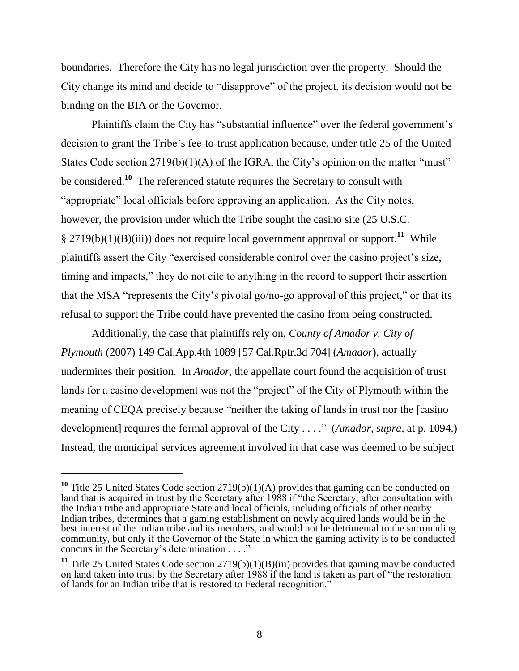boundaries. Therefore the City has no legal jurisdiction over the property. Should the City change its mind and decide to "disapprove" of the project, its decision would not be binding on the BIA or the Governor.

Plaintiffs claim the City has "substantial influence" over the federal government's decision to grant the Tribe"s fee-to-trust application because, under title 25 of the United States Code section  $2719(b)(1)(A)$  of the IGRA, the City's opinion on the matter "must" be considered.**<sup>10</sup>** The referenced statute requires the Secretary to consult with "appropriate" local officials before approving an application. As the City notes, however, the provision under which the Tribe sought the casino site (25 U.S.C. § 2719(b)(1)(B)(iii)) does not require local government approval or support.**<sup>11</sup>** While plaintiffs assert the City "exercised considerable control over the casino project"s size, timing and impacts," they do not cite to anything in the record to support their assertion that the MSA "represents the City"s pivotal go/no-go approval of this project," or that its refusal to support the Tribe could have prevented the casino from being constructed.

Additionally, the case that plaintiffs rely on, *County of Amador v. City of Plymouth* (2007) 149 Cal.App.4th 1089 [57 Cal.Rptr.3d 704] (*Amador*), actually undermines their position. In *Amador,* the appellate court found the acquisition of trust lands for a casino development was not the "project" of the City of Plymouth within the meaning of CEQA precisely because "neither the taking of lands in trust nor the [casino development] requires the formal approval of the City . . . ." (*Amador, supra,* at p. 1094.) Instead, the municipal services agreement involved in that case was deemed to be subject

<sup>&</sup>lt;sup>10</sup> Title 25 United States Code section 2719(b)(1)(A) provides that gaming can be conducted on land that is acquired in trust by the Secretary after 1988 if "the Secretary, after consultation with the Indian tribe and appropriate State and local officials, including officials of other nearby Indian tribes, determines that a gaming establishment on newly acquired lands would be in the best interest of the Indian tribe and its members, and would not be detrimental to the surrounding community, but only if the Governor of the State in which the gaming activity is to be conducted concurs in the Secretary"s determination . . . ."

**<sup>11</sup>** Title 25 United States Code section 2719(b)(1)(B)(iii) provides that gaming may be conducted on land taken into trust by the Secretary after 1988 if the land is taken as part of "the restoration of lands for an Indian tribe that is restored to Federal recognition."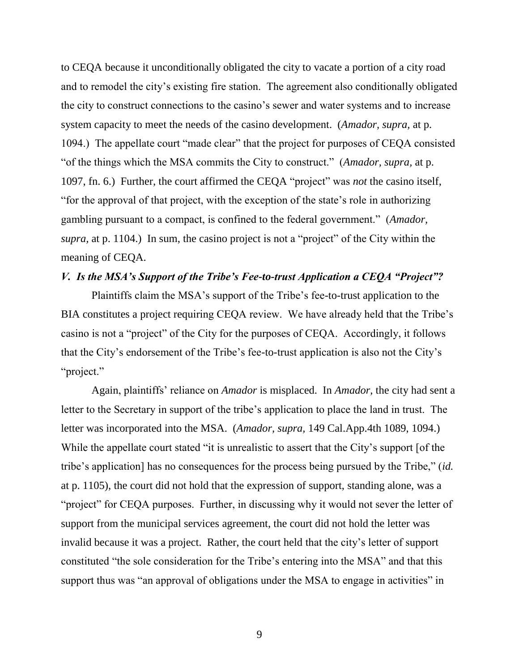to CEQA because it unconditionally obligated the city to vacate a portion of a city road and to remodel the city"s existing fire station. The agreement also conditionally obligated the city to construct connections to the casino"s sewer and water systems and to increase system capacity to meet the needs of the casino development. (*Amador, supra,* at p. 1094.) The appellate court "made clear" that the project for purposes of CEQA consisted "of the things which the MSA commits the City to construct." (*Amador, supra,* at p. 1097, fn. 6.) Further, the court affirmed the CEQA "project" was *not* the casino itself, "for the approval of that project, with the exception of the state"s role in authorizing gambling pursuant to a compact, is confined to the federal government." (*Amador, supra,* at p. 1104.) In sum, the casino project is not a "project" of the City within the meaning of CEQA.

# *V. Is the MSA's Support of the Tribe's Fee-to-trust Application a CEQA "Project"?*

Plaintiffs claim the MSA"s support of the Tribe"s fee-to-trust application to the BIA constitutes a project requiring CEQA review. We have already held that the Tribe's casino is not a "project" of the City for the purposes of CEQA. Accordingly, it follows that the City's endorsement of the Tribe's fee-to-trust application is also not the City's "project."

Again, plaintiffs" reliance on *Amador* is misplaced. In *Amador,* the city had sent a letter to the Secretary in support of the tribe"s application to place the land in trust. The letter was incorporated into the MSA. (*Amador, supra,* 149 Cal.App.4th 1089, 1094.) While the appellate court stated "it is unrealistic to assert that the City's support [of the tribe"s application] has no consequences for the process being pursued by the Tribe," (*id.*  at p. 1105), the court did not hold that the expression of support, standing alone, was a "project" for CEQA purposes. Further, in discussing why it would not sever the letter of support from the municipal services agreement, the court did not hold the letter was invalid because it was a project. Rather, the court held that the city"s letter of support constituted "the sole consideration for the Tribe"s entering into the MSA" and that this support thus was "an approval of obligations under the MSA to engage in activities" in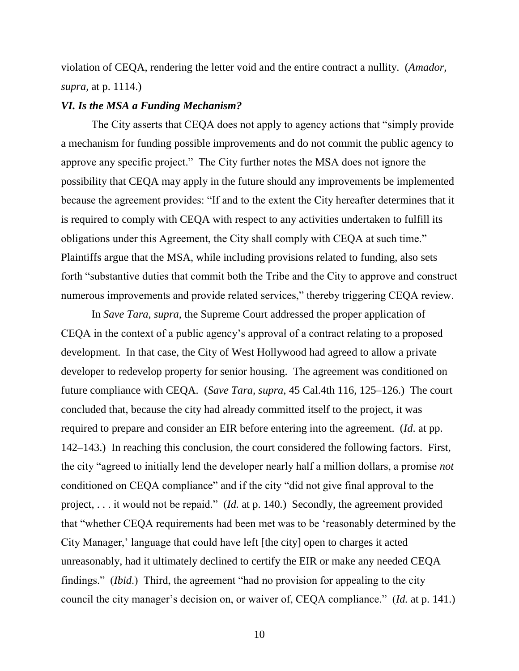violation of CEQA, rendering the letter void and the entire contract a nullity. (*Amador, supra,* at p. 1114.)

#### *VI. Is the MSA a Funding Mechanism?*

The City asserts that CEQA does not apply to agency actions that "simply provide a mechanism for funding possible improvements and do not commit the public agency to approve any specific project." The City further notes the MSA does not ignore the possibility that CEQA may apply in the future should any improvements be implemented because the agreement provides: "If and to the extent the City hereafter determines that it is required to comply with CEQA with respect to any activities undertaken to fulfill its obligations under this Agreement, the City shall comply with CEQA at such time." Plaintiffs argue that the MSA, while including provisions related to funding, also sets forth "substantive duties that commit both the Tribe and the City to approve and construct numerous improvements and provide related services," thereby triggering CEQA review.

In *Save Tara, supra,* the Supreme Court addressed the proper application of CEQA in the context of a public agency"s approval of a contract relating to a proposed development. In that case, the City of West Hollywood had agreed to allow a private developer to redevelop property for senior housing. The agreement was conditioned on future compliance with CEQA. (*Save Tara, supra,* 45 Cal.4th 116, 125–126.) The court concluded that, because the city had already committed itself to the project, it was required to prepare and consider an EIR before entering into the agreement. (*Id*. at pp. 142–143.) In reaching this conclusion, the court considered the following factors. First, the city "agreed to initially lend the developer nearly half a million dollars, a promise *not* conditioned on CEQA compliance" and if the city "did not give final approval to the project, . . . it would not be repaid." (*Id.* at p. 140*.*) Secondly, the agreement provided that "whether CEQA requirements had been met was to be "reasonably determined by the City Manager,' language that could have left [the city] open to charges it acted unreasonably, had it ultimately declined to certify the EIR or make any needed CEQA findings." (*Ibid*.) Third, the agreement "had no provision for appealing to the city council the city manager"s decision on, or waiver of, CEQA compliance." (*Id.* at p. 141.)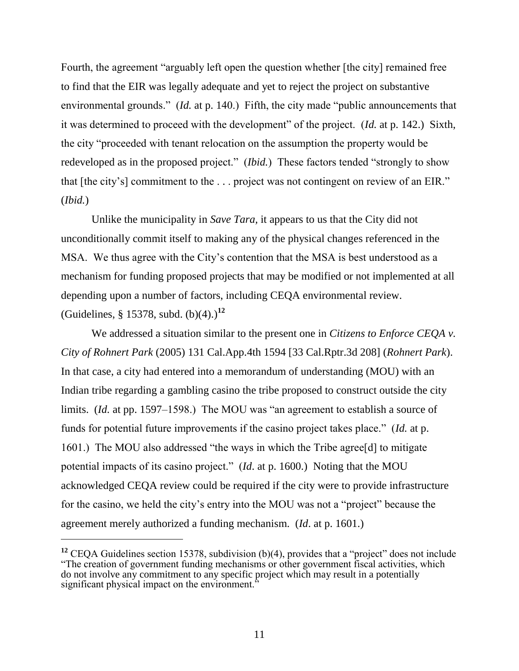Fourth, the agreement "arguably left open the question whether [the city] remained free to find that the EIR was legally adequate and yet to reject the project on substantive environmental grounds." (*Id.* at p. 140.) Fifth, the city made "public announcements that it was determined to proceed with the development" of the project. (*Id.* at p. 142.) Sixth, the city "proceeded with tenant relocation on the assumption the property would be redeveloped as in the proposed project." (*Ibid.*) These factors tended "strongly to show that [the city"s] commitment to the . . . project was not contingent on review of an EIR." (*Ibid.*)

Unlike the municipality in *Save Tara,* it appears to us that the City did not unconditionally commit itself to making any of the physical changes referenced in the MSA. We thus agree with the City"s contention that the MSA is best understood as a mechanism for funding proposed projects that may be modified or not implemented at all depending upon a number of factors, including CEQA environmental review. (Guidelines, § 15378, subd.  $(b)(4)$ .)<sup>12</sup>

We addressed a situation similar to the present one in *Citizens to Enforce CEQA v. City of Rohnert Park* (2005) 131 Cal.App.4th 1594 [33 Cal.Rptr.3d 208] (*Rohnert Park*). In that case, a city had entered into a memorandum of understanding (MOU) with an Indian tribe regarding a gambling casino the tribe proposed to construct outside the city limits. (*Id.* at pp. 1597–1598.) The MOU was "an agreement to establish a source of funds for potential future improvements if the casino project takes place." (*Id.* at p. 1601.) The MOU also addressed "the ways in which the Tribe agree[d] to mitigate potential impacts of its casino project." (*Id*. at p. 1600.) Noting that the MOU acknowledged CEQA review could be required if the city were to provide infrastructure for the casino, we held the city"s entry into the MOU was not a "project" because the agreement merely authorized a funding mechanism. (*Id*. at p. 1601.)

<sup>&</sup>lt;sup>12</sup> CEQA Guidelines section 15378, subdivision (b)(4), provides that a "project" does not include "The creation of government funding mechanisms or other government fiscal activities, which do not involve any commitment to any specific project which may result in a potentially significant physical impact on the environment.<sup>"</sup>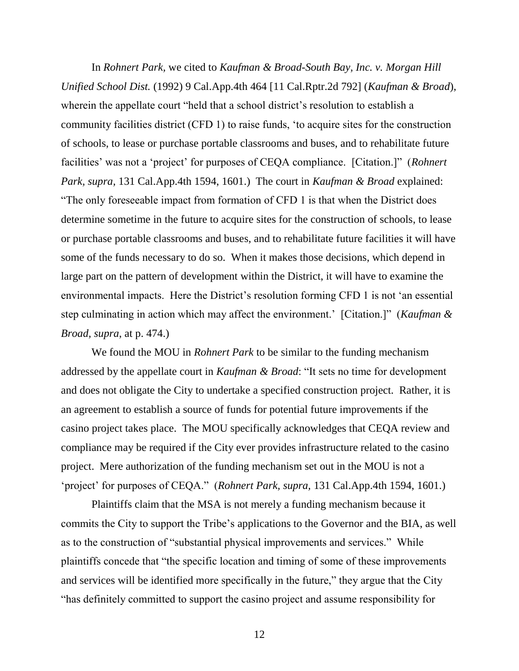In *Rohnert Park,* we cited to *Kaufman & Broad-South Bay, Inc. v. Morgan Hill Unified School Dist.* (1992) 9 Cal.App.4th 464 [11 Cal.Rptr.2d 792] (*Kaufman & Broad*), wherein the appellate court "held that a school district's resolution to establish a community facilities district (CFD 1) to raise funds, "to acquire sites for the construction of schools, to lease or purchase portable classrooms and buses, and to rehabilitate future facilities' was not a 'project' for purposes of CEQA compliance. [Citation.]" (*Rohnert Park, supra,* 131 Cal.App.4th 1594, 1601.) The court in *Kaufman & Broad* explained: "The only foreseeable impact from formation of CFD 1 is that when the District does determine sometime in the future to acquire sites for the construction of schools, to lease or purchase portable classrooms and buses, and to rehabilitate future facilities it will have some of the funds necessary to do so. When it makes those decisions, which depend in large part on the pattern of development within the District, it will have to examine the environmental impacts. Here the District's resolution forming CFD 1 is not 'an essential step culminating in action which may affect the environment." [Citation.]" (*Kaufman & Broad, supra*, at p. 474.)

We found the MOU in *Rohnert Park* to be similar to the funding mechanism addressed by the appellate court in *Kaufman & Broad*: "It sets no time for development and does not obligate the City to undertake a specified construction project. Rather, it is an agreement to establish a source of funds for potential future improvements if the casino project takes place. The MOU specifically acknowledges that CEQA review and compliance may be required if the City ever provides infrastructure related to the casino project. Mere authorization of the funding mechanism set out in the MOU is not a "project" for purposes of CEQA." (*Rohnert Park, supra,* 131 Cal.App.4th 1594, 1601.)

Plaintiffs claim that the MSA is not merely a funding mechanism because it commits the City to support the Tribe"s applications to the Governor and the BIA, as well as to the construction of "substantial physical improvements and services." While plaintiffs concede that "the specific location and timing of some of these improvements and services will be identified more specifically in the future," they argue that the City "has definitely committed to support the casino project and assume responsibility for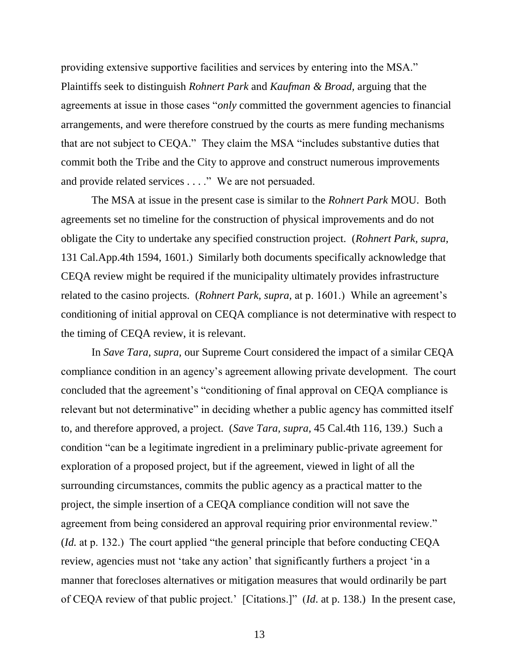providing extensive supportive facilities and services by entering into the MSA." Plaintiffs seek to distinguish *Rohnert Park* and *Kaufman & Broad,* arguing that the agreements at issue in those cases "*only* committed the government agencies to financial arrangements, and were therefore construed by the courts as mere funding mechanisms that are not subject to CEQA." They claim the MSA "includes substantive duties that commit both the Tribe and the City to approve and construct numerous improvements and provide related services . . . ." We are not persuaded.

The MSA at issue in the present case is similar to the *Rohnert Park* MOU. Both agreements set no timeline for the construction of physical improvements and do not obligate the City to undertake any specified construction project. (*Rohnert Park, supra,* 131 Cal.App.4th 1594, 1601.) Similarly both documents specifically acknowledge that CEQA review might be required if the municipality ultimately provides infrastructure related to the casino projects. (*Rohnert Park, supra,* at p. 1601.) While an agreement"s conditioning of initial approval on CEQA compliance is not determinative with respect to the timing of CEQA review, it is relevant.

In *Save Tara, supra,* our Supreme Court considered the impact of a similar CEQA compliance condition in an agency"s agreement allowing private development. The court concluded that the agreement's "conditioning of final approval on CEQA compliance is relevant but not determinative" in deciding whether a public agency has committed itself to, and therefore approved, a project. (*Save Tara, supra,* 45 Cal.4th 116, 139.) Such a condition "can be a legitimate ingredient in a preliminary public-private agreement for exploration of a proposed project, but if the agreement, viewed in light of all the surrounding circumstances, commits the public agency as a practical matter to the project, the simple insertion of a CEQA compliance condition will not save the agreement from being considered an approval requiring prior environmental review." (*Id.* at p. 132.) The court applied "the general principle that before conducting CEQA review, agencies must not 'take any action' that significantly furthers a project 'in a manner that forecloses alternatives or mitigation measures that would ordinarily be part of CEQA review of that public project." [Citations.]" (*Id*. at p. 138.) In the present case,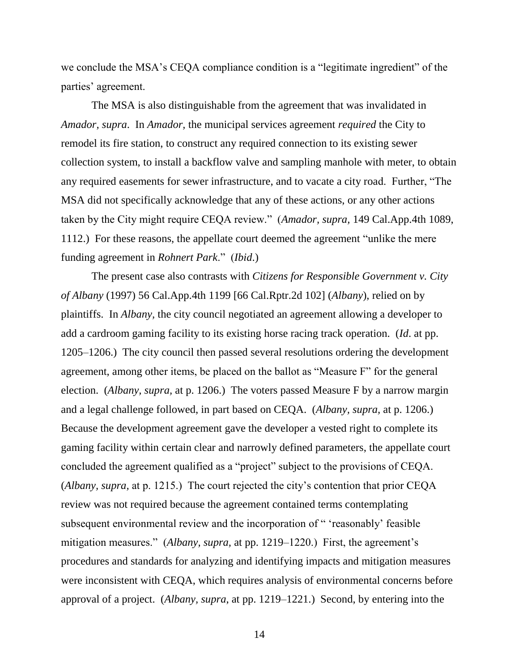we conclude the MSA"s CEQA compliance condition is a "legitimate ingredient" of the parties" agreement.

The MSA is also distinguishable from the agreement that was invalidated in *Amador, supra*. In *Amador,* the municipal services agreement *required* the City to remodel its fire station, to construct any required connection to its existing sewer collection system, to install a backflow valve and sampling manhole with meter, to obtain any required easements for sewer infrastructure, and to vacate a city road. Further, "The MSA did not specifically acknowledge that any of these actions, or any other actions taken by the City might require CEQA review." (*Amador, supra,* 149 Cal.App.4th 1089, 1112.) For these reasons, the appellate court deemed the agreement "unlike the mere funding agreement in *Rohnert Park*." (*Ibid*.)

The present case also contrasts with *Citizens for Responsible Government v. City of Albany* (1997) 56 Cal.App.4th 1199 [66 Cal.Rptr.2d 102] (*Albany*), relied on by plaintiffs. In *Albany,* the city council negotiated an agreement allowing a developer to add a cardroom gaming facility to its existing horse racing track operation. (*Id*. at pp. 1205–1206.) The city council then passed several resolutions ordering the development agreement, among other items, be placed on the ballot as "Measure F" for the general election. (*Albany, supra,* at p. 1206.) The voters passed Measure F by a narrow margin and a legal challenge followed, in part based on CEQA. (*Albany, supra,* at p. 1206.) Because the development agreement gave the developer a vested right to complete its gaming facility within certain clear and narrowly defined parameters, the appellate court concluded the agreement qualified as a "project" subject to the provisions of CEQA. (*Albany, supra,* at p. 1215.) The court rejected the city"s contention that prior CEQA review was not required because the agreement contained terms contemplating subsequent environmental review and the incorporation of " 'reasonably' feasible mitigation measures." (*Albany, supra,* at pp. 1219–1220.) First, the agreement's procedures and standards for analyzing and identifying impacts and mitigation measures were inconsistent with CEQA, which requires analysis of environmental concerns before approval of a project. (*Albany, supra*, at pp. 1219–1221.) Second, by entering into the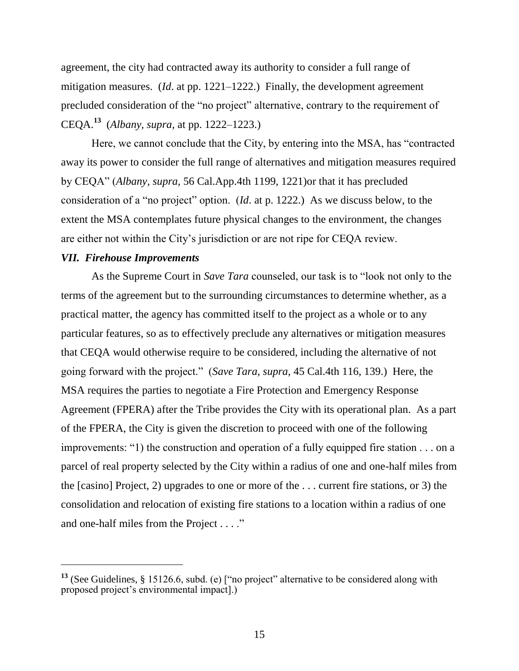agreement, the city had contracted away its authority to consider a full range of mitigation measures. (*Id*. at pp. 1221–1222.) Finally, the development agreement precluded consideration of the "no project" alternative, contrary to the requirement of CEQA.**<sup>13</sup>** (*Albany, supra,* at pp. 1222–1223.)

Here, we cannot conclude that the City, by entering into the MSA, has "contracted away its power to consider the full range of alternatives and mitigation measures required by CEQA" (*Albany, supra,* 56 Cal.App.4th 1199, 1221)or that it has precluded consideration of a "no project" option. (*Id*. at p. 1222.) As we discuss below, to the extent the MSA contemplates future physical changes to the environment, the changes are either not within the City"s jurisdiction or are not ripe for CEQA review.

## *VII. Firehouse Improvements*

 $\overline{a}$ 

As the Supreme Court in *Save Tara* counseled, our task is to "look not only to the terms of the agreement but to the surrounding circumstances to determine whether, as a practical matter, the agency has committed itself to the project as a whole or to any particular features, so as to effectively preclude any alternatives or mitigation measures that CEQA would otherwise require to be considered, including the alternative of not going forward with the project." (*Save Tara, supra,* 45 Cal.4th 116, 139.) Here, the MSA requires the parties to negotiate a Fire Protection and Emergency Response Agreement (FPERA) after the Tribe provides the City with its operational plan. As a part of the FPERA, the City is given the discretion to proceed with one of the following improvements: "1) the construction and operation of a fully equipped fire station . . . on a parcel of real property selected by the City within a radius of one and one-half miles from the [casino] Project, 2) upgrades to one or more of the . . . current fire stations, or 3) the consolidation and relocation of existing fire stations to a location within a radius of one and one-half miles from the Project . . . ."

**<sup>13</sup>** (See Guidelines, § 15126.6, subd. (e) ["no project" alternative to be considered along with proposed project"s environmental impact].)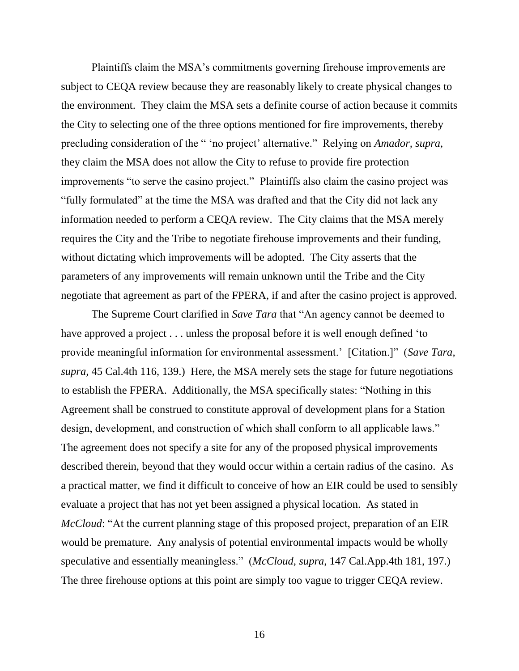Plaintiffs claim the MSA"s commitments governing firehouse improvements are subject to CEQA review because they are reasonably likely to create physical changes to the environment. They claim the MSA sets a definite course of action because it commits the City to selecting one of the three options mentioned for fire improvements, thereby precluding consideration of the " "no project" alternative." Relying on *Amador, supra,* they claim the MSA does not allow the City to refuse to provide fire protection improvements "to serve the casino project." Plaintiffs also claim the casino project was "fully formulated" at the time the MSA was drafted and that the City did not lack any information needed to perform a CEQA review. The City claims that the MSA merely requires the City and the Tribe to negotiate firehouse improvements and their funding, without dictating which improvements will be adopted. The City asserts that the parameters of any improvements will remain unknown until the Tribe and the City negotiate that agreement as part of the FPERA, if and after the casino project is approved.

The Supreme Court clarified in *Save Tara* that "An agency cannot be deemed to have approved a project . . . unless the proposal before it is well enough defined 'to provide meaningful information for environmental assessment." [Citation.]" (*Save Tara, supra,* 45 Cal.4th 116, 139.) Here, the MSA merely sets the stage for future negotiations to establish the FPERA. Additionally, the MSA specifically states: "Nothing in this Agreement shall be construed to constitute approval of development plans for a Station design, development, and construction of which shall conform to all applicable laws." The agreement does not specify a site for any of the proposed physical improvements described therein, beyond that they would occur within a certain radius of the casino. As a practical matter, we find it difficult to conceive of how an EIR could be used to sensibly evaluate a project that has not yet been assigned a physical location. As stated in *McCloud*: "At the current planning stage of this proposed project, preparation of an EIR would be premature. Any analysis of potential environmental impacts would be wholly speculative and essentially meaningless." (*McCloud, supra*, 147 Cal.App.4th 181, 197.) The three firehouse options at this point are simply too vague to trigger CEQA review.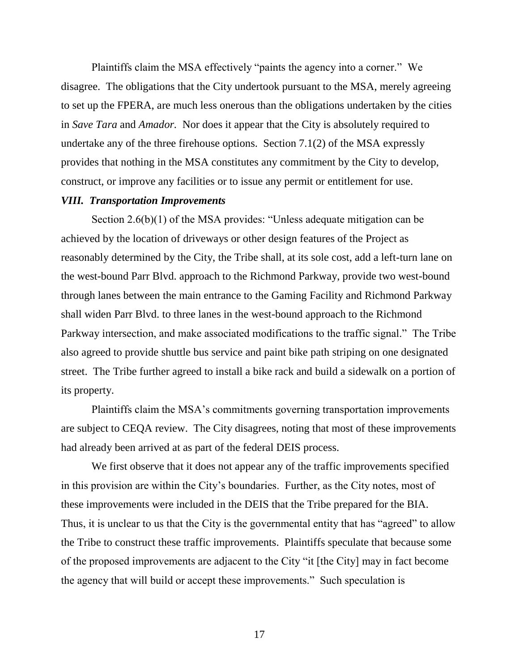Plaintiffs claim the MSA effectively "paints the agency into a corner." We disagree. The obligations that the City undertook pursuant to the MSA, merely agreeing to set up the FPERA, are much less onerous than the obligations undertaken by the cities in *Save Tara* and *Amador.* Nor does it appear that the City is absolutely required to undertake any of the three firehouse options. Section 7.1(2) of the MSA expressly provides that nothing in the MSA constitutes any commitment by the City to develop, construct, or improve any facilities or to issue any permit or entitlement for use.

# *VIII. Transportation Improvements*

Section 2.6(b)(1) of the MSA provides: "Unless adequate mitigation can be achieved by the location of driveways or other design features of the Project as reasonably determined by the City, the Tribe shall, at its sole cost, add a left-turn lane on the west-bound Parr Blvd. approach to the Richmond Parkway, provide two west-bound through lanes between the main entrance to the Gaming Facility and Richmond Parkway shall widen Parr Blvd. to three lanes in the west-bound approach to the Richmond Parkway intersection, and make associated modifications to the traffic signal." The Tribe also agreed to provide shuttle bus service and paint bike path striping on one designated street. The Tribe further agreed to install a bike rack and build a sidewalk on a portion of its property.

Plaintiffs claim the MSA"s commitments governing transportation improvements are subject to CEQA review. The City disagrees, noting that most of these improvements had already been arrived at as part of the federal DEIS process.

We first observe that it does not appear any of the traffic improvements specified in this provision are within the City"s boundaries. Further, as the City notes, most of these improvements were included in the DEIS that the Tribe prepared for the BIA. Thus, it is unclear to us that the City is the governmental entity that has "agreed" to allow the Tribe to construct these traffic improvements. Plaintiffs speculate that because some of the proposed improvements are adjacent to the City "it [the City] may in fact become the agency that will build or accept these improvements." Such speculation is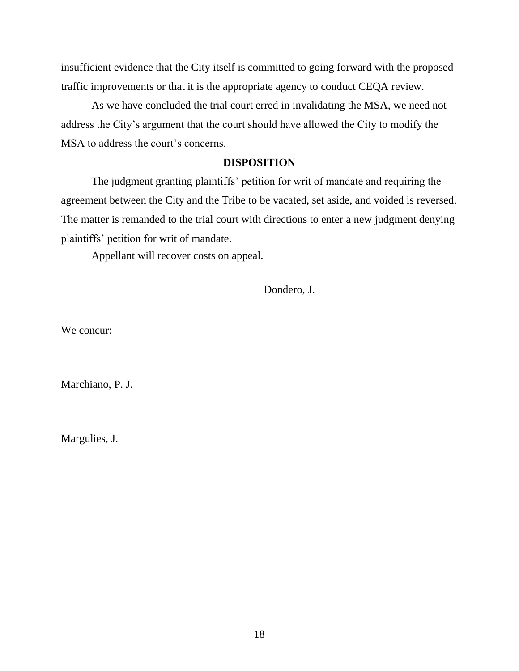insufficient evidence that the City itself is committed to going forward with the proposed traffic improvements or that it is the appropriate agency to conduct CEQA review.

As we have concluded the trial court erred in invalidating the MSA, we need not address the City"s argument that the court should have allowed the City to modify the MSA to address the court's concerns.

### **DISPOSITION**

The judgment granting plaintiffs' petition for writ of mandate and requiring the agreement between the City and the Tribe to be vacated, set aside, and voided is reversed. The matter is remanded to the trial court with directions to enter a new judgment denying plaintiffs" petition for writ of mandate.

Appellant will recover costs on appeal.

Dondero, J.

We concur:

Marchiano, P. J.

Margulies, J.